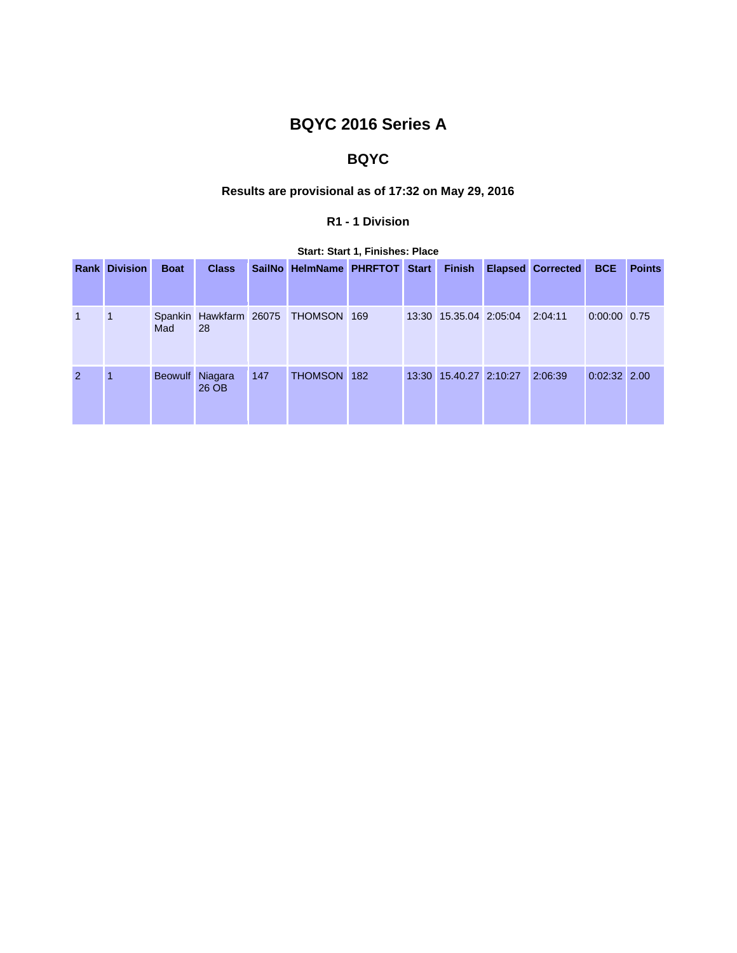# **BQYC 2016 Series A**

## **BQYC**

## **Results are provisional as of 17:32 on May 29, 2016**

## **R1 - 1 Division**

|              | <b>Rank Division</b> | <b>Boat</b>     | <b>Class</b> |     | SailNo HelmName PHRFTOT Start      |  | <b>Finish</b>          | <b>Elapsed Corrected</b> | <b>BCE</b>     | <b>Points</b> |
|--------------|----------------------|-----------------|--------------|-----|------------------------------------|--|------------------------|--------------------------|----------------|---------------|
|              |                      |                 |              |     |                                    |  |                        |                          |                |               |
| $\mathbf{1}$ | $\vert$ 1            | Mad             | 28           |     | Spankin Hawkfarm 26075 THOMSON 169 |  | 13:30 15.35.04 2:05:04 | 2:04:11                  | 0:00:00 0.75   |               |
| 2            |                      | Beowulf Niagara | 26 OB        | 147 | THOMSON 182                        |  | 13:30 15.40.27 2:10:27 | 2:06:39                  | $0:02:32$ 2.00 |               |

## **Start: Start 1, Finishes: Place**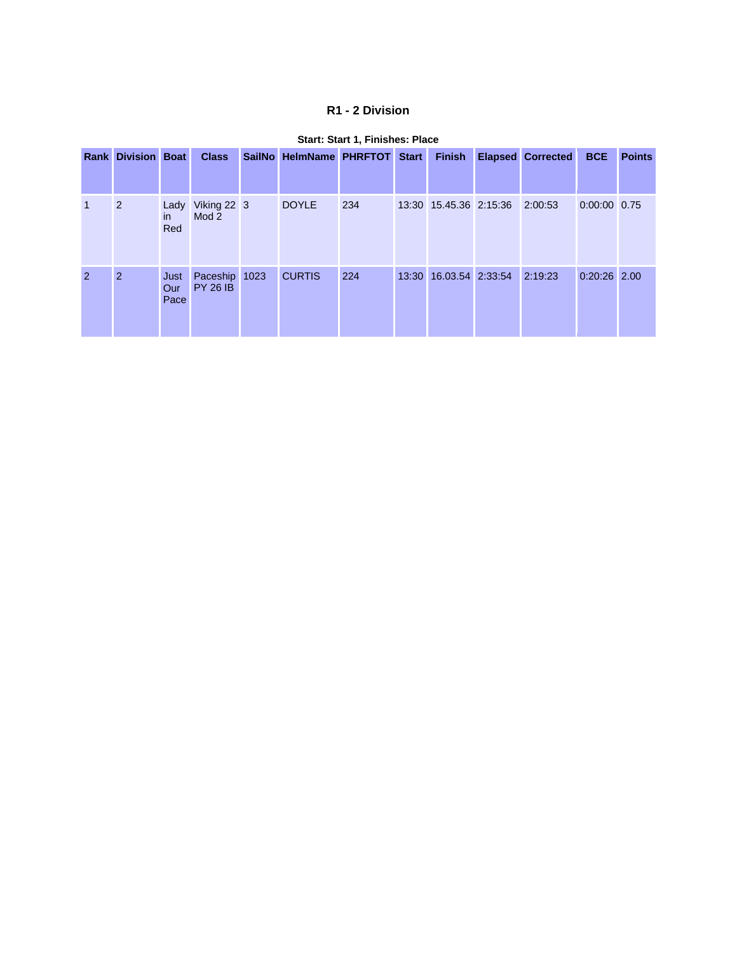## **R1 - 2 Division**

|                | <b>Rank Division Boat</b> |                     | <b>Class</b>                     | SailNo HelmName PHRFTOT Start |     | <b>Finish</b>                  | <b>Elapsed Corrected</b> | <b>BCE</b>     | <b>Points</b> |
|----------------|---------------------------|---------------------|----------------------------------|-------------------------------|-----|--------------------------------|--------------------------|----------------|---------------|
|                | $\overline{2}$            | Lady<br>in.<br>Red  | Viking 22 3<br>Mod 2             | <b>DOYLE</b>                  | 234 | 13:30 15.45.36 2:15:36 2:00:53 |                          | $0:00:00$ 0.75 |               |
| $\overline{2}$ | 2                         | Just<br>Our<br>Pace | Paceship 1023<br><b>PY 26 IB</b> | <b>CURTIS</b>                 | 224 | 13:30 16.03.54 2:33:54 2:19:23 |                          | $0:20:26$ 2.00 |               |

#### **Start: Start 1, Finishes: Place**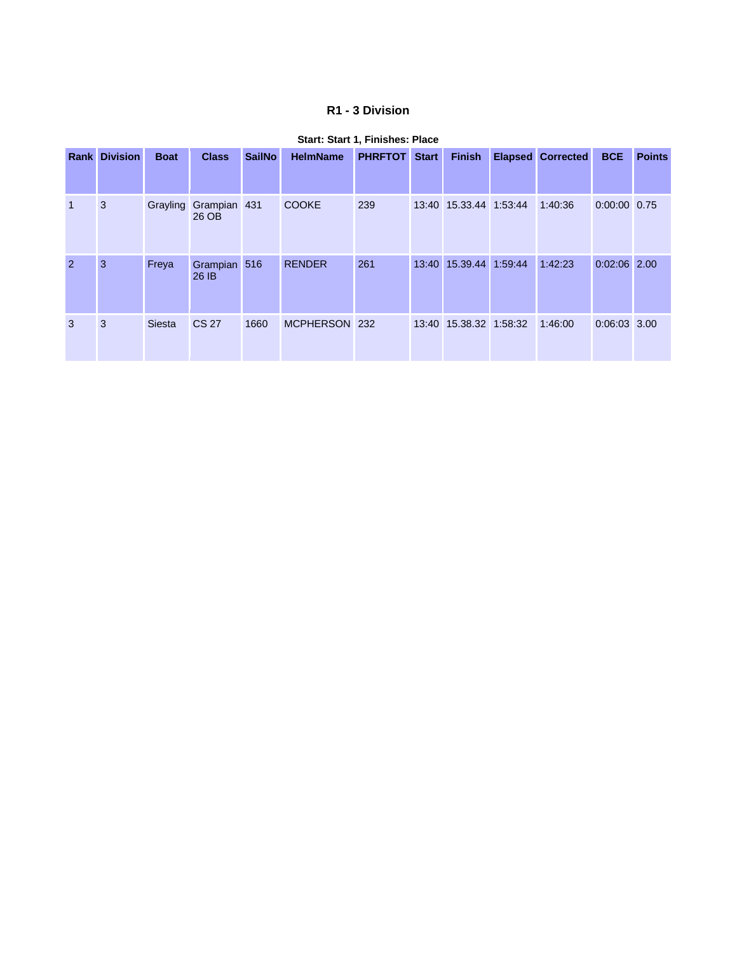## **R1 - 3 Division**

|                | <b>Rank Division</b> | <b>Boat</b>   | <b>Class</b>                   | <b>SailNo</b> | <b>HelmName</b> | <b>PHRFTOT</b> | <b>Start</b> | <b>Finish</b>          | <b>Elapsed Corrected</b> | <b>BCE</b>     | <b>Points</b> |
|----------------|----------------------|---------------|--------------------------------|---------------|-----------------|----------------|--------------|------------------------|--------------------------|----------------|---------------|
| $\overline{1}$ | 3                    |               | Grayling Grampian 431<br>26 OB |               | <b>COOKE</b>    | 239            |              | 13:40 15.33.44 1:53:44 | 1:40:36                  | 0:00:00 0.75   |               |
| $\overline{2}$ | 3                    | Freya         | Grampian 516<br>26 IB          |               | <b>RENDER</b>   | 261            |              | 13:40 15.39.44 1:59:44 | 1:42:23                  | $0:02:06$ 2.00 |               |
| 3              | 3                    | <b>Siesta</b> | <b>CS 27</b>                   | 1660          | MCPHERSON 232   |                |              | 13:40 15.38.32 1:58:32 | 1:46:00                  | 0:06:03 3.00   |               |

## **Start: Start 1, Finishes: Place**